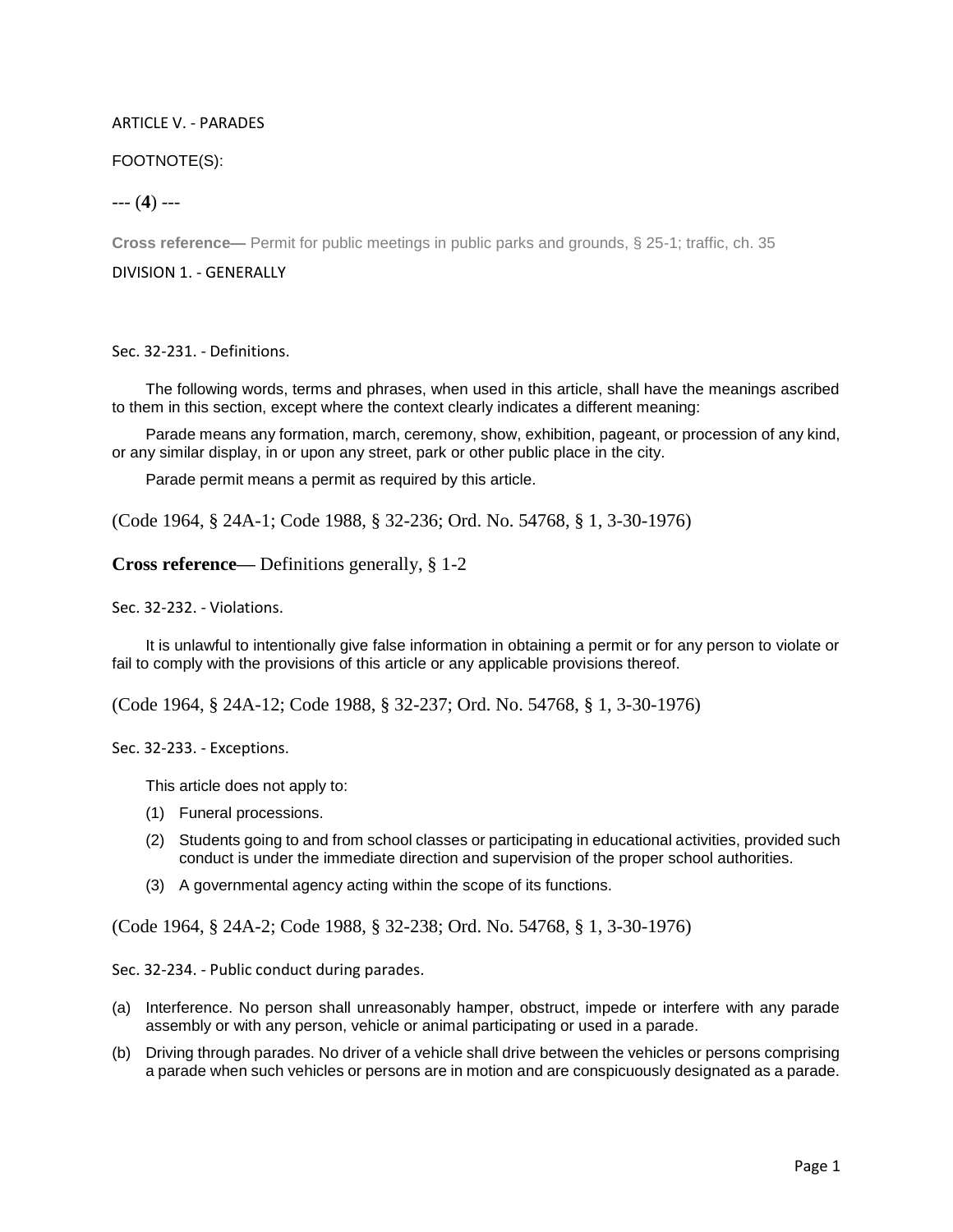## ARTICLE V. - PARADES

## FOOTNOTE(S):

--- (**4**) ---

**Cross reference—** Permit for public meetings in public parks and grounds, § 25-1; traffic, ch. 35

DIVISION 1. - GENERALLY

Sec. 32-231. - Definitions.

The following words, terms and phrases, when used in this article, shall have the meanings ascribed to them in this section, except where the context clearly indicates a different meaning:

Parade means any formation, march, ceremony, show, exhibition, pageant, or procession of any kind, or any similar display, in or upon any street, park or other public place in the city.

Parade permit means a permit as required by this article.

(Code 1964, § 24A-1; Code 1988, § 32-236; Ord. No. 54768, § 1, 3-30-1976)

**Cross reference—** Definitions generally, § 1-2

Sec. 32-232. - Violations.

It is unlawful to intentionally give false information in obtaining a permit or for any person to violate or fail to comply with the provisions of this article or any applicable provisions thereof.

(Code 1964, § 24A-12; Code 1988, § 32-237; Ord. No. 54768, § 1, 3-30-1976)

Sec. 32-233. - Exceptions.

This article does not apply to:

- (1) Funeral processions.
- (2) Students going to and from school classes or participating in educational activities, provided such conduct is under the immediate direction and supervision of the proper school authorities.
- (3) A governmental agency acting within the scope of its functions.

(Code 1964, § 24A-2; Code 1988, § 32-238; Ord. No. 54768, § 1, 3-30-1976)

Sec. 32-234. - Public conduct during parades.

- (a) Interference. No person shall unreasonably hamper, obstruct, impede or interfere with any parade assembly or with any person, vehicle or animal participating or used in a parade.
- (b) Driving through parades. No driver of a vehicle shall drive between the vehicles or persons comprising a parade when such vehicles or persons are in motion and are conspicuously designated as a parade.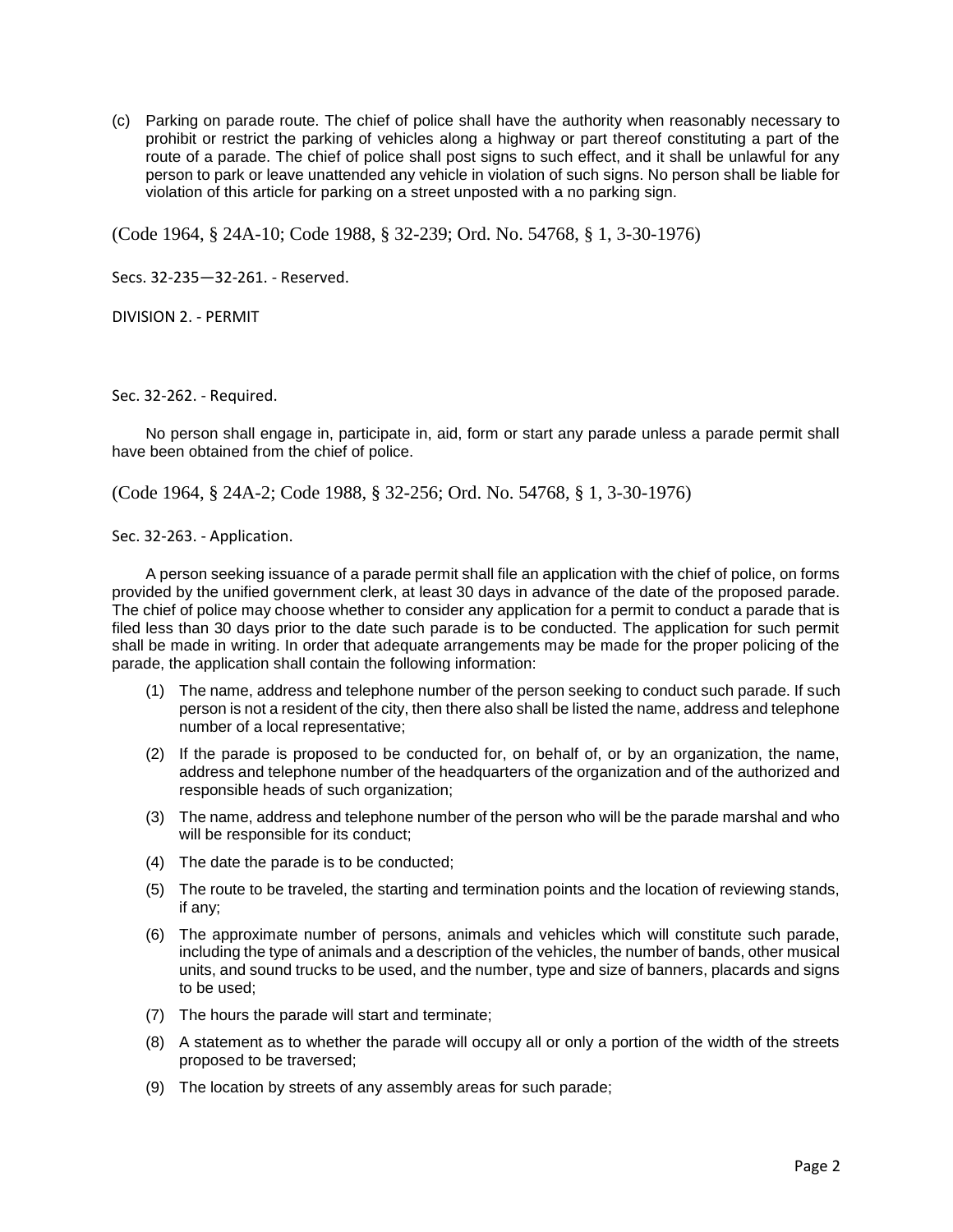(c) Parking on parade route. The chief of police shall have the authority when reasonably necessary to prohibit or restrict the parking of vehicles along a highway or part thereof constituting a part of the route of a parade. The chief of police shall post signs to such effect, and it shall be unlawful for any person to park or leave unattended any vehicle in violation of such signs. No person shall be liable for violation of this article for parking on a street unposted with a no parking sign.

(Code 1964, § 24A-10; Code 1988, § 32-239; Ord. No. 54768, § 1, 3-30-1976)

Secs. 32-235—32-261. - Reserved.

DIVISION 2. - PERMIT

Sec. 32-262. - Required.

No person shall engage in, participate in, aid, form or start any parade unless a parade permit shall have been obtained from the chief of police.

(Code 1964, § 24A-2; Code 1988, § 32-256; Ord. No. 54768, § 1, 3-30-1976)

Sec. 32-263. - Application.

A person seeking issuance of a parade permit shall file an application with the chief of police, on forms provided by the unified government clerk, at least 30 days in advance of the date of the proposed parade. The chief of police may choose whether to consider any application for a permit to conduct a parade that is filed less than 30 days prior to the date such parade is to be conducted. The application for such permit shall be made in writing. In order that adequate arrangements may be made for the proper policing of the parade, the application shall contain the following information:

- (1) The name, address and telephone number of the person seeking to conduct such parade. If such person is not a resident of the city, then there also shall be listed the name, address and telephone number of a local representative;
- (2) If the parade is proposed to be conducted for, on behalf of, or by an organization, the name, address and telephone number of the headquarters of the organization and of the authorized and responsible heads of such organization;
- (3) The name, address and telephone number of the person who will be the parade marshal and who will be responsible for its conduct;
- (4) The date the parade is to be conducted;
- (5) The route to be traveled, the starting and termination points and the location of reviewing stands, if any;
- (6) The approximate number of persons, animals and vehicles which will constitute such parade, including the type of animals and a description of the vehicles, the number of bands, other musical units, and sound trucks to be used, and the number, type and size of banners, placards and signs to be used;
- (7) The hours the parade will start and terminate;
- (8) A statement as to whether the parade will occupy all or only a portion of the width of the streets proposed to be traversed;
- (9) The location by streets of any assembly areas for such parade;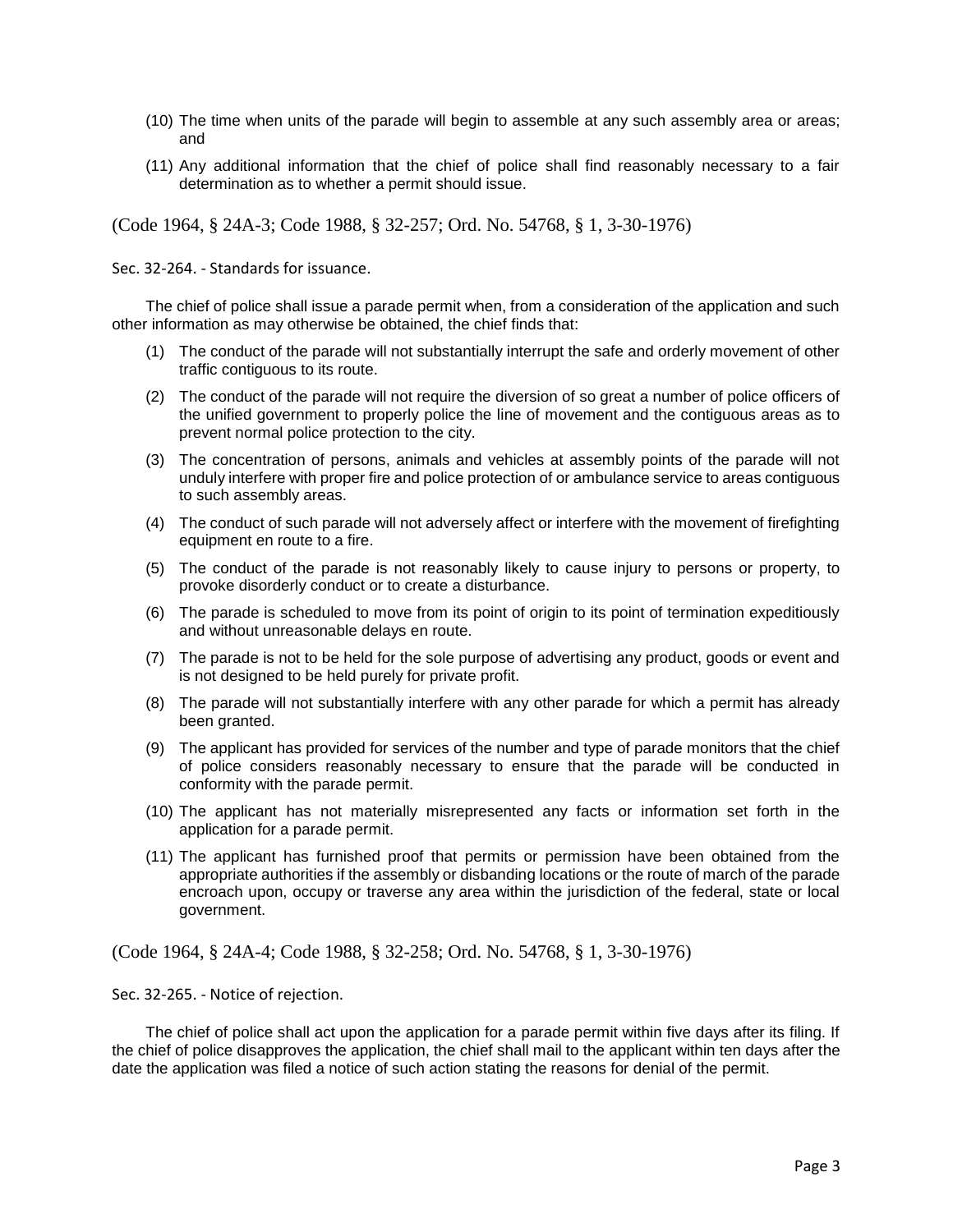- (10) The time when units of the parade will begin to assemble at any such assembly area or areas; and
- (11) Any additional information that the chief of police shall find reasonably necessary to a fair determination as to whether a permit should issue.

(Code 1964, § 24A-3; Code 1988, § 32-257; Ord. No. 54768, § 1, 3-30-1976)

Sec. 32-264. - Standards for issuance.

The chief of police shall issue a parade permit when, from a consideration of the application and such other information as may otherwise be obtained, the chief finds that:

- (1) The conduct of the parade will not substantially interrupt the safe and orderly movement of other traffic contiguous to its route.
- (2) The conduct of the parade will not require the diversion of so great a number of police officers of the unified government to properly police the line of movement and the contiguous areas as to prevent normal police protection to the city.
- (3) The concentration of persons, animals and vehicles at assembly points of the parade will not unduly interfere with proper fire and police protection of or ambulance service to areas contiguous to such assembly areas.
- (4) The conduct of such parade will not adversely affect or interfere with the movement of firefighting equipment en route to a fire.
- (5) The conduct of the parade is not reasonably likely to cause injury to persons or property, to provoke disorderly conduct or to create a disturbance.
- (6) The parade is scheduled to move from its point of origin to its point of termination expeditiously and without unreasonable delays en route.
- (7) The parade is not to be held for the sole purpose of advertising any product, goods or event and is not designed to be held purely for private profit.
- (8) The parade will not substantially interfere with any other parade for which a permit has already been granted.
- (9) The applicant has provided for services of the number and type of parade monitors that the chief of police considers reasonably necessary to ensure that the parade will be conducted in conformity with the parade permit.
- (10) The applicant has not materially misrepresented any facts or information set forth in the application for a parade permit.
- (11) The applicant has furnished proof that permits or permission have been obtained from the appropriate authorities if the assembly or disbanding locations or the route of march of the parade encroach upon, occupy or traverse any area within the jurisdiction of the federal, state or local government.

(Code 1964, § 24A-4; Code 1988, § 32-258; Ord. No. 54768, § 1, 3-30-1976)

Sec. 32-265. - Notice of rejection.

The chief of police shall act upon the application for a parade permit within five days after its filing. If the chief of police disapproves the application, the chief shall mail to the applicant within ten days after the date the application was filed a notice of such action stating the reasons for denial of the permit.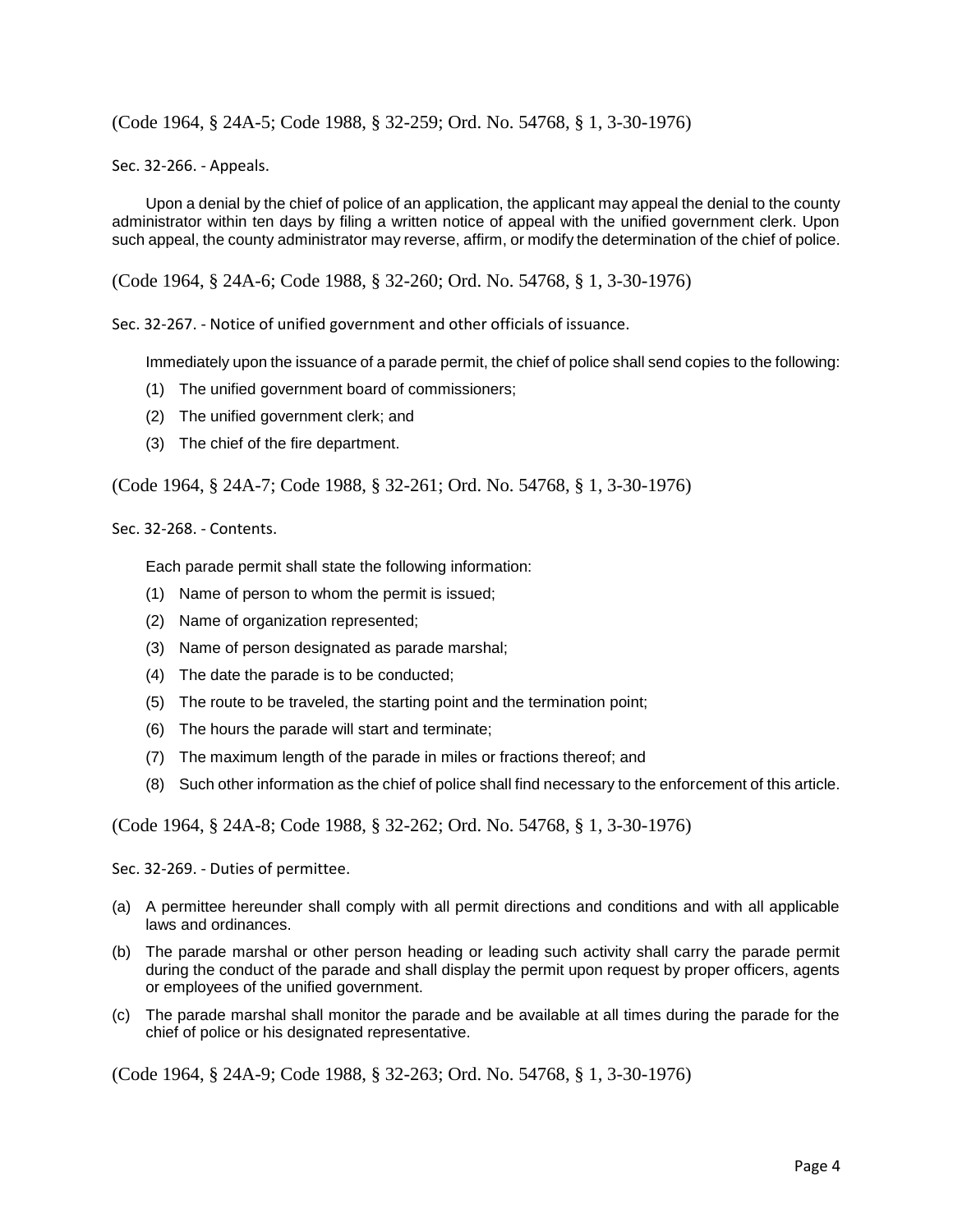(Code 1964, § 24A-5; Code 1988, § 32-259; Ord. No. 54768, § 1, 3-30-1976)

Sec. 32-266. - Appeals.

Upon a denial by the chief of police of an application, the applicant may appeal the denial to the county administrator within ten days by filing a written notice of appeal with the unified government clerk. Upon such appeal, the county administrator may reverse, affirm, or modify the determination of the chief of police.

(Code 1964, § 24A-6; Code 1988, § 32-260; Ord. No. 54768, § 1, 3-30-1976)

Sec. 32-267. - Notice of unified government and other officials of issuance.

Immediately upon the issuance of a parade permit, the chief of police shall send copies to the following:

- (1) The unified government board of commissioners;
- (2) The unified government clerk; and
- (3) The chief of the fire department.

(Code 1964, § 24A-7; Code 1988, § 32-261; Ord. No. 54768, § 1, 3-30-1976)

Sec. 32-268. - Contents.

Each parade permit shall state the following information:

- (1) Name of person to whom the permit is issued;
- (2) Name of organization represented;
- (3) Name of person designated as parade marshal;
- (4) The date the parade is to be conducted;
- (5) The route to be traveled, the starting point and the termination point;
- (6) The hours the parade will start and terminate;
- (7) The maximum length of the parade in miles or fractions thereof; and
- (8) Such other information as the chief of police shall find necessary to the enforcement of this article.

(Code 1964, § 24A-8; Code 1988, § 32-262; Ord. No. 54768, § 1, 3-30-1976)

Sec. 32-269. - Duties of permittee.

- (a) A permittee hereunder shall comply with all permit directions and conditions and with all applicable laws and ordinances.
- (b) The parade marshal or other person heading or leading such activity shall carry the parade permit during the conduct of the parade and shall display the permit upon request by proper officers, agents or employees of the unified government.
- (c) The parade marshal shall monitor the parade and be available at all times during the parade for the chief of police or his designated representative.

(Code 1964, § 24A-9; Code 1988, § 32-263; Ord. No. 54768, § 1, 3-30-1976)